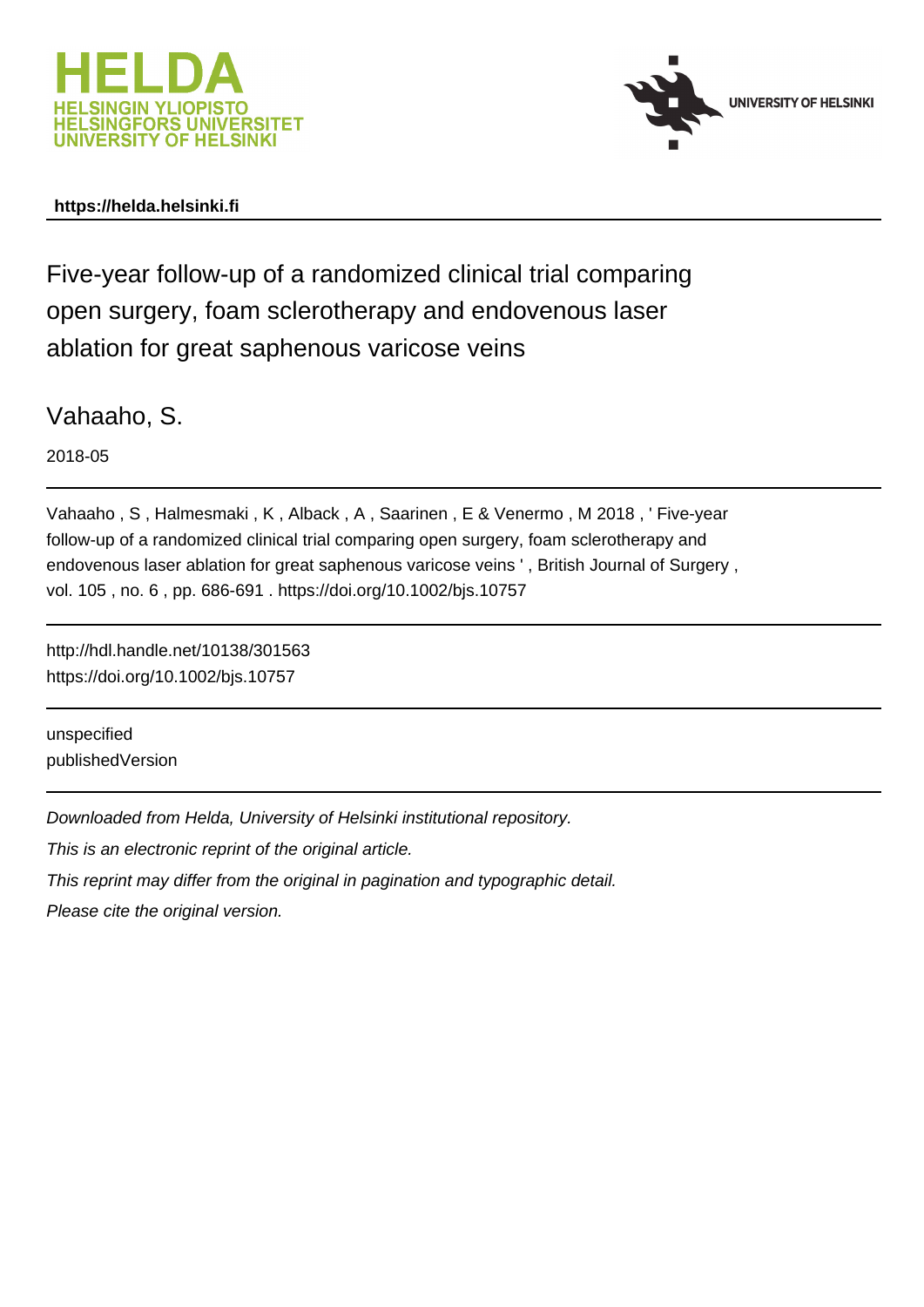



## **https://helda.helsinki.fi**

Five-year follow-up of a randomized clinical trial comparing open surgery, foam sclerotherapy and endovenous laser ablation for great saphenous varicose veins

Vahaaho, S.

2018-05

Vahaaho , S , Halmesmaki , K , Alback , A , Saarinen , E & Venermo , M 2018 , ' Five-year follow-up of a randomized clinical trial comparing open surgery, foam sclerotherapy and endovenous laser ablation for great saphenous varicose veins ' , British Journal of Surgery , vol. 105 , no. 6 , pp. 686-691 . https://doi.org/10.1002/bjs.10757

http://hdl.handle.net/10138/301563 https://doi.org/10.1002/bjs.10757

unspecified publishedVersion

Downloaded from Helda, University of Helsinki institutional repository.

This is an electronic reprint of the original article.

This reprint may differ from the original in pagination and typographic detail.

Please cite the original version.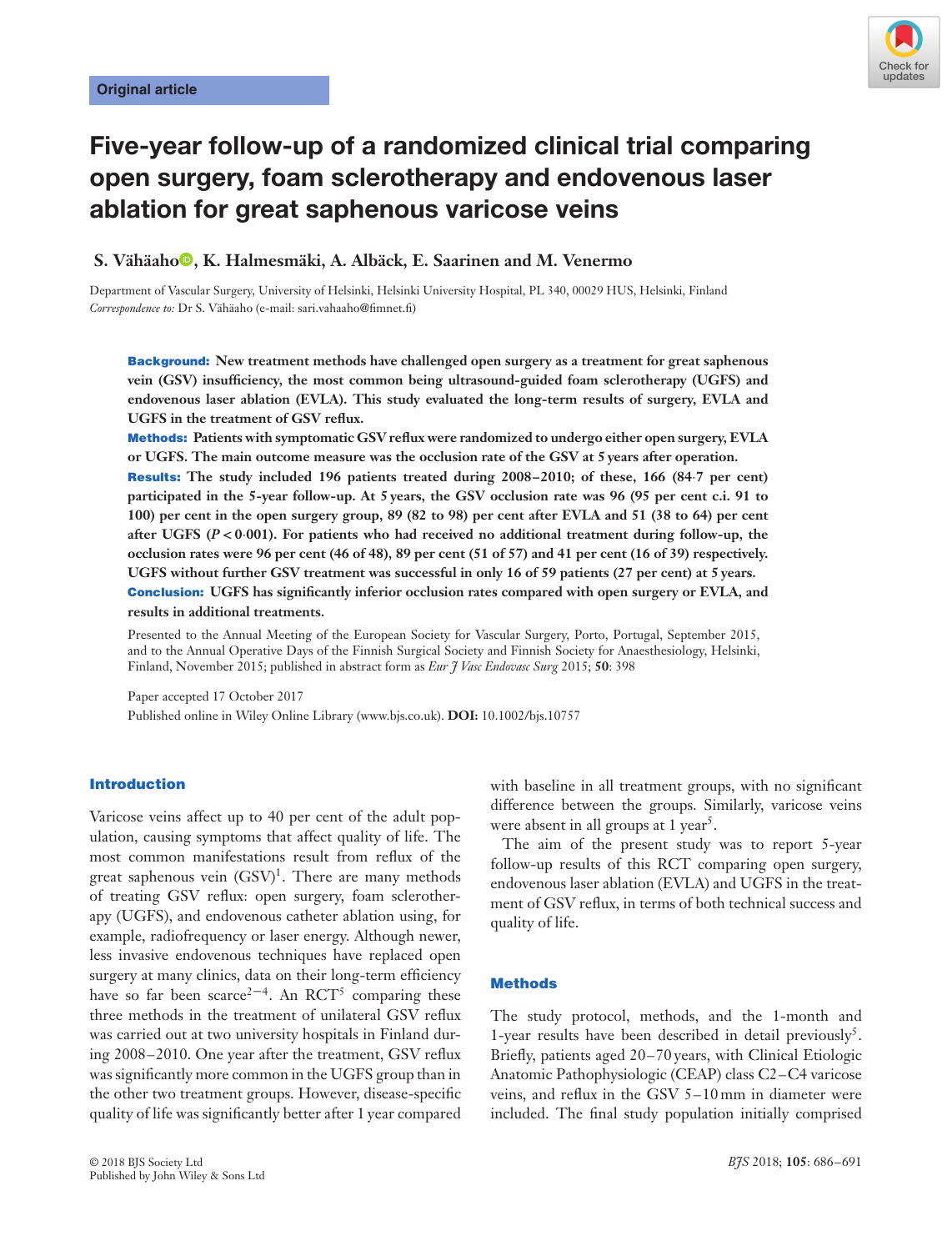

# **Five-year follow-up of a randomized clinical trial comparing open surgery, foam sclerotherapy and endovenous laser ablation for great saphenous varicose veins**

**S. Vähäah[o](http://orcid.org/0000-0003-0799-8283) , K. Halmesmäki, A. Albäck, E. Saarinen and M. Venermo**

Department of Vascular Surgery, University of Helsinki, Helsinki University Hospital, PL 340, 00029 HUS, Helsinki, Finland *Correspondence to:* Dr S. Vähäaho (e-mail: sari.vahaaho@fimnet.fi)

**Background: New treatment methods have challenged open surgery as a treatment for great saphenous vein (GSV) insufficiency, the most common being ultrasound-guided foam sclerotherapy (UGFS) and endovenous laser ablation (EVLA). This study evaluated the long-term results of surgery, EVLA and UGFS in the treatment of GSV reflux.**

**Methods: Patients with symptomatic GSV reflux were randomized to undergo either open surgery, EVLA or UGFS. The main outcome measure was the occlusion rate of the GSV at 5 years after operation.**

**Results: The study included 196 patients treated during 2008–2010; of these, 166 (84⋅7 per cent) participated in the 5-year follow-up. At 5 years, the GSV occlusion rate was 96 (95 per cent c.i. 91 to 100) per cent in the open surgery group, 89 (82 to 98) per cent after EVLA and 51 (38 to 64) per cent after UGFS (***P <* **0⋅001). For patients who had received no additional treatment during follow-up, the occlusion rates were 96 per cent (46 of 48), 89 per cent (51 of 57) and 41 per cent (16 of 39) respectively. UGFS without further GSV treatment was successful in only 16 of 59 patients (27 per cent) at 5 years. Conclusion: UGFS has significantly inferior occlusion rates compared with open surgery or EVLA, and results in additional treatments.**

Presented to the Annual Meeting of the European Society for Vascular Surgery, Porto, Portugal, September 2015, and to the Annual Operative Days of the Finnish Surgical Society and Finnish Society for Anaesthesiology, Helsinki, Finland, November 2015; published in abstract form as *Eur J Vasc Endovasc Surg* 2015; **50**: 398

Paper accepted 17 October 2017 Published online in Wiley Online Library (www.bjs.co.uk). **DOI:** 10.1002/bjs.10757

## **Introduction**

Varicose veins affect up to 40 per cent of the adult population, causing symptoms that affect quality of life. The most common manifestations result from reflux of the great saphenous vein  $(GSV)^1$ . There are many methods of treating GSV reflux: open surgery, foam sclerotherapy (UGFS), and endovenous catheter ablation using, for example, radiofrequency or laser energy. Although newer, less invasive endovenous techniques have replaced open surgery at many clinics, data on their long-term efficiency have so far been scarce<sup>2-4</sup>. An RCT<sup>5</sup> comparing these three methods in the treatment of unilateral GSV reflux was carried out at two university hospitals in Finland during 2008–2010. One year after the treatment, GSV reflux was significantly more common in the UGFS group than in the other two treatment groups. However, disease-specific quality of life was significantly better after 1 year compared with baseline in all treatment groups, with no significant difference between the groups. Similarly, varicose veins were absent in all groups at  $1$  year<sup>5</sup>.

The aim of the present study was to report 5-year follow-up results of this RCT comparing open surgery, endovenous laser ablation (EVLA) and UGFS in the treatment of GSV reflux, in terms of both technical success and quality of life.

## **Methods**

The study protocol, methods, and the 1-month and 1-year results have been described in detail previously<sup>5</sup>. Briefly, patients aged 20–70 years, with Clinical Etiologic Anatomic Pathophysiologic (CEAP) class C2–C4 varicose veins, and reflux in the GSV 5–10 mm in diameter were included. The final study population initially comprised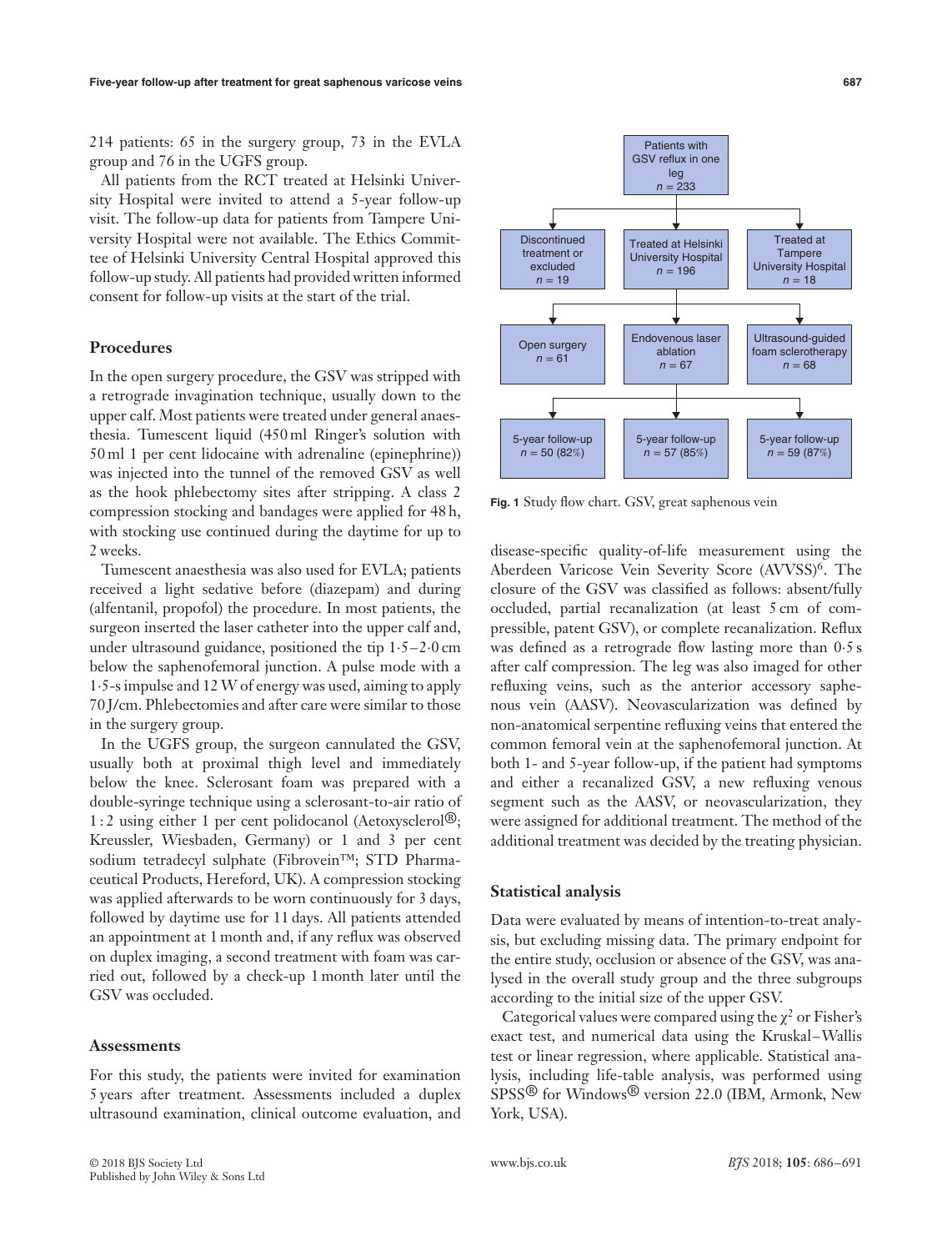214 patients: 65 in the surgery group, 73 in the EVLA group and 76 in the UGFS group.

All patients from the RCT treated at Helsinki University Hospital were invited to attend a 5-year follow-up visit. The follow-up data for patients from Tampere University Hospital were not available. The Ethics Committee of Helsinki University Central Hospital approved this follow-up study. All patients had provided written informed consent for follow-up visits at the start of the trial.

## **Procedures**

In the open surgery procedure, the GSV was stripped with a retrograde invagination technique, usually down to the upper calf. Most patients were treated under general anaesthesia. Tumescent liquid (450 ml Ringer's solution with 50 ml 1 per cent lidocaine with adrenaline (epinephrine)) was injected into the tunnel of the removed GSV as well as the hook phlebectomy sites after stripping. A class 2 compression stocking and bandages were applied for 48 h, with stocking use continued during the daytime for up to 2 weeks.

Tumescent anaesthesia was also used for EVLA; patients received a light sedative before (diazepam) and during (alfentanil, propofol) the procedure. In most patients, the surgeon inserted the laser catheter into the upper calf and, under ultrasound guidance, positioned the tip 1⋅5–2⋅0 cm below the saphenofemoral junction. A pulse mode with a 1⋅5-s impulse and 12W of energy was used, aiming to apply 70 J/cm. Phlebectomies and after care were similar to those in the surgery group.

In the UGFS group, the surgeon cannulated the GSV, usually both at proximal thigh level and immediately below the knee. Sclerosant foam was prepared with a double-syringe technique using a sclerosant-to-air ratio of 1 : 2 using either 1 per cent polidocanol (Aetoxysclerol®; Kreussler, Wiesbaden, Germany) or 1 and 3 per cent sodium tetradecyl sulphate (Fibrovein™; STD Pharmaceutical Products, Hereford, UK). A compression stocking was applied afterwards to be worn continuously for 3 days, followed by daytime use for 11 days. All patients attended an appointment at 1 month and, if any reflux was observed on duplex imaging, a second treatment with foam was carried out, followed by a check-up 1 month later until the GSV was occluded.

#### **Assessments**

For this study, the patients were invited for examination 5 years after treatment. Assessments included a duplex ultrasound examination, clinical outcome evaluation, and



Patients with GSV reflux in one leg *n* = 233

closure of the GSV was classified as follows: absent/fully occluded, partial recanalization (at least 5 cm of compressible, patent GSV), or complete recanalization. Reflux was defined as a retrograde flow lasting more than  $0.5 s$ after calf compression. The leg was also imaged for other refluxing veins, such as the anterior accessory saphenous vein (AASV). Neovascularization was defined by non-anatomical serpentine refluxing veins that entered the common femoral vein at the saphenofemoral junction. At both 1- and 5-year follow-up, if the patient had symptoms and either a recanalized GSV, a new refluxing venous segment such as the AASV, or neovascularization, they were assigned for additional treatment. The method of the additional treatment was decided by the treating physician.

#### **Statistical analysis**

Data were evaluated by means of intention-to-treat analysis, but excluding missing data. The primary endpoint for the entire study, occlusion or absence of the GSV, was analysed in the overall study group and the three subgroups according to the initial size of the upper GSV.

Categorical values were compared using the  $\chi^2$  or Fisher's exact test, and numerical data using the Kruskal–Wallis test or linear regression, where applicable. Statistical analysis, including life-table analysis, was performed using SPSS® for Windows® version 22.0 (IBM, Armonk, New York, USA).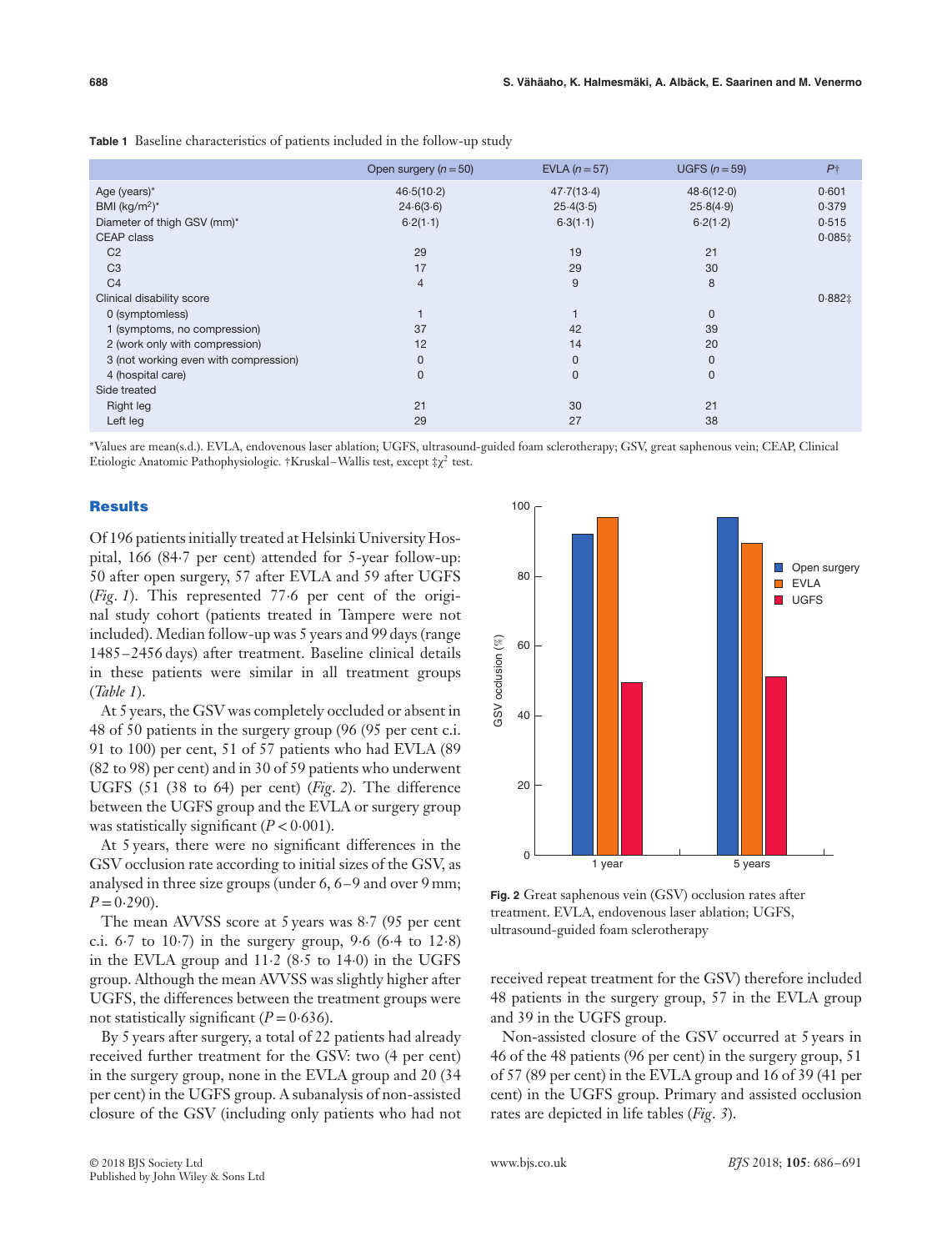**Table 1** Baseline characteristics of patients included in the follow-up study

|                                       | Open surgery $(n = 50)$ | EVLA $(n=57)$ | UGFS $(n=59)$ | P <sub>1</sub> |
|---------------------------------------|-------------------------|---------------|---------------|----------------|
| Age (years)*                          | 46.5(10.2)              | 47.7(13.4)    | 48.6(12.0)    | 0.601          |
| BMI (kg/m <sup>2</sup> ) <sup>*</sup> | 24.6(3.6)               | 25.4(3.5)     | 25.8(4.9)     | 0.379          |
| Diameter of thigh GSV (mm)*           | 6.2(1.1)                | 6.3(1.1)      | 6.2(1.2)      | 0.515          |
| CEAP class                            |                         |               |               | $0.085$ ‡      |
| C <sub>2</sub>                        | 29                      | 19            | 21            |                |
| C <sub>3</sub>                        | 17                      | 29            | 30            |                |
| C <sub>4</sub>                        | $\overline{4}$          | 9             | 8             |                |
| Clinical disability score             |                         |               |               | $0.882 \pm$    |
| 0 (symptomless)                       |                         |               | $\mathbf{0}$  |                |
| 1 (symptoms, no compression)          | 37                      | 42            | 39            |                |
| 2 (work only with compression)        | 12                      | 14            | 20            |                |
| 3 (not working even with compression) | 0                       | 0             | $\mathbf{0}$  |                |
| 4 (hospital care)                     | 0                       | 0             | $\mathbf{0}$  |                |
| Side treated                          |                         |               |               |                |
| Right leg                             | 21                      | 30            | 21            |                |
| Left leg                              | 29                      | 27            | 38            |                |
|                                       |                         |               |               |                |

\*Values are mean(s.d.). EVLA, endovenous laser ablation; UGFS, ultrasound-guided foam sclerotherapy; GSV, great saphenous vein; CEAP, Clinical Etiologic Anatomic Pathophysiologic. †Kruskal–Wallis test, except  $\ddagger \chi^2$  test.

## **Results**

Of 196 patients initially treated at Helsinki University Hospital, 166 (84⋅7 per cent) attended for 5-year follow-up: 50 after open surgery, 57 after EVLA and 59 after UGFS (*Fig*. *1*). This represented 77⋅6 per cent of the original study cohort (patients treated in Tampere were not included). Median follow-up was 5 years and 99 days (range 1485–2456 days) after treatment. Baseline clinical details in these patients were similar in all treatment groups (*Table 1*).

At 5 years, the GSV was completely occluded or absent in 48 of 50 patients in the surgery group (96 (95 per cent c.i. 91 to 100) per cent, 51 of 57 patients who had EVLA (89 (82 to 98) per cent) and in 30 of 59 patients who underwent UGFS (51 (38 to 64) per cent) (*Fig*. *2*). The difference between the UGFS group and the EVLA or surgery group was statistically significant (*P <*0⋅001).

At 5 years, there were no significant differences in the GSV occlusion rate according to initial sizes of the GSV, as analysed in three size groups (under 6, 6–9 and over 9 mm;  $P = 0.290$ ).

The mean AVVSS score at 5 years was 8⋅7 (95 per cent c.i. 6⋅7 to 10⋅7) in the surgery group, 9⋅6 (6⋅4 to 12⋅8) in the EVLA group and 11⋅2 (8⋅5 to 14⋅0) in the UGFS group. Although the mean AVVSS was slightly higher after UGFS, the differences between the treatment groups were not statistically significant  $(P = 0.636)$ .

By 5 years after surgery, a total of 22 patients had already received further treatment for the GSV: two (4 per cent) in the surgery group, none in the EVLA group and 20 (34 per cent) in the UGFS group. A subanalysis of non-assisted closure of the GSV (including only patients who had not



**Fig. 2** Great saphenous vein (GSV) occlusion rates after treatment. EVLA, endovenous laser ablation; UGFS, ultrasound-guided foam sclerotherapy

received repeat treatment for the GSV) therefore included 48 patients in the surgery group, 57 in the EVLA group and 39 in the UGFS group.

Non-assisted closure of the GSV occurred at 5 years in 46 of the 48 patients (96 per cent) in the surgery group, 51 of 57 (89 per cent) in the EVLA group and 16 of 39 (41 per cent) in the UGFS group. Primary and assisted occlusion rates are depicted in life tables (*Fig*. *3*).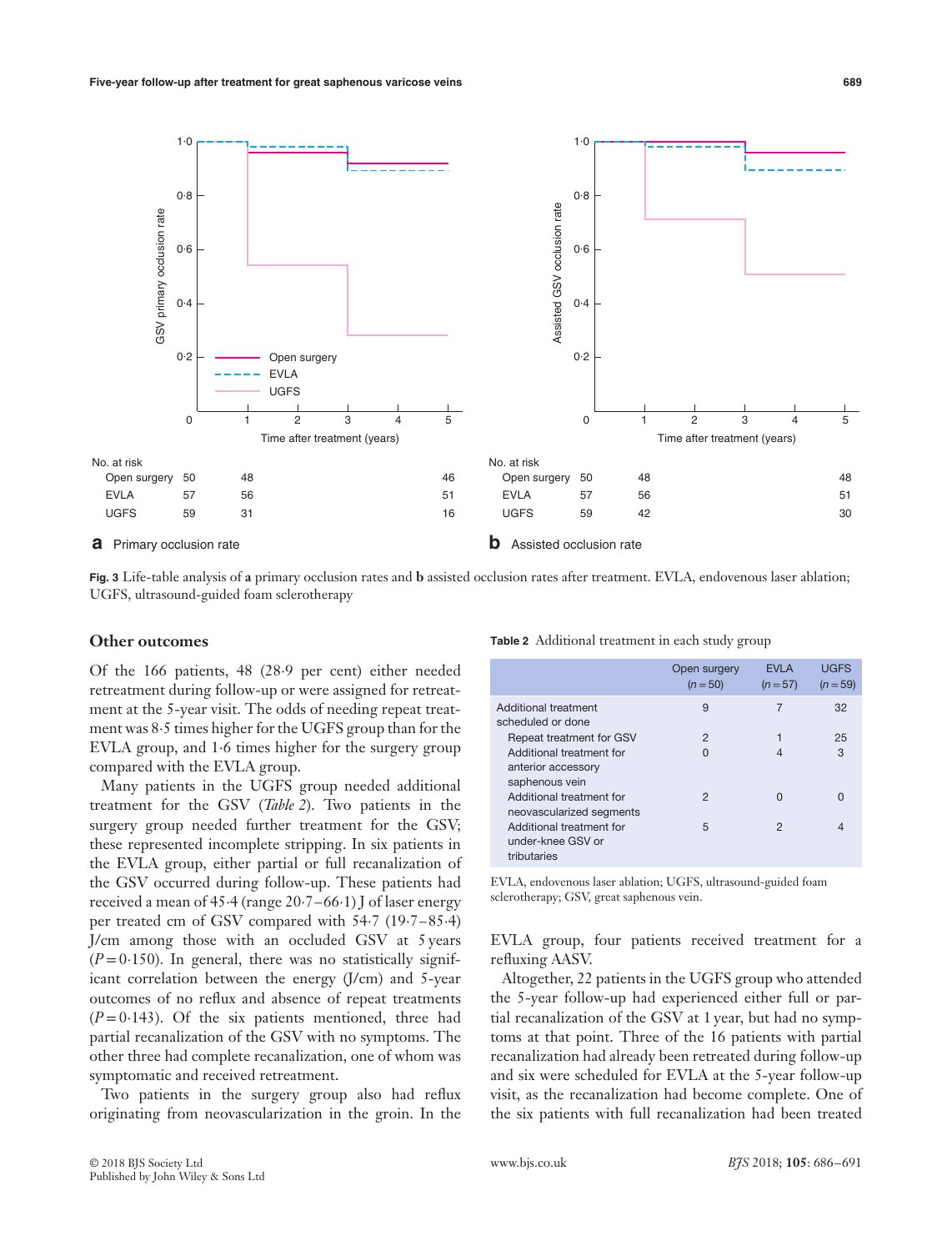

**Fig. 3** Life-table analysis of **a** primary occlusion rates and **b** assisted occlusion rates after treatment. EVLA, endovenous laser ablation; UGFS, ultrasound-guided foam sclerotherapy

### **Other outcomes**

Of the 166 patients, 48 (28⋅9 per cent) either needed retreatment during follow-up or were assigned for retreatment at the 5-year visit. The odds of needing repeat treatment was 8⋅5 times higher for the UGFS group than for the EVLA group, and 1⋅6 times higher for the surgery group compared with the EVLA group.

Many patients in the UGFS group needed additional treatment for the GSV (*Table 2*). Two patients in the surgery group needed further treatment for the GSV; these represented incomplete stripping. In six patients in the EVLA group, either partial or full recanalization of the GSV occurred during follow-up. These patients had received a mean of 45⋅4 (range 20⋅7–66⋅1) J of laser energy per treated cm of GSV compared with 54⋅7 (19⋅7–85⋅4) J/cm among those with an occluded GSV at 5 years  $(P=0.150)$ . In general, there was no statistically significant correlation between the energy (J/cm) and 5-year outcomes of no reflux and absence of repeat treatments  $(P=0.143)$ . Of the six patients mentioned, three had partial recanalization of the GSV with no symptoms. The other three had complete recanalization, one of whom was symptomatic and received retreatment.

Two patients in the surgery group also had reflux originating from neovascularization in the groin. In the

| © 2018 BJS Society Ltd             | www.bis.co.uk | <i>B</i> 7S 2018; <b>105</b> : 686–691 |  |
|------------------------------------|---------------|----------------------------------------|--|
| Published by John Wiley & Sons Ltd |               |                                        |  |

|                                                                  | Open surgery<br>$(n=50)$ | <b>EVLA</b><br>$(n=57)$ | <b>UGFS</b><br>$(n = 59)$ |
|------------------------------------------------------------------|--------------------------|-------------------------|---------------------------|
| Additional treatment<br>scheduled or done                        | 9                        |                         | 32                        |
| Repeat treatment for GSV                                         | 2                        |                         | 25                        |
| Additional treatment for<br>anterior accessory<br>saphenous vein | 0                        |                         | 3                         |
| Additional treatment for<br>neovascularized segments             | 2                        | O                       |                           |
| Additional treatment for<br>under-knee GSV or                    | 5                        | 2                       |                           |

**Table 2** Additional treatment in each study group

EVLA, endovenous laser ablation; UGFS, ultrasound-guided foam sclerotherapy; GSV, great saphenous vein.

EVLA group, four patients received treatment for a refluxing AASV.

Altogether, 22 patients in the UGFS group who attended the 5-year follow-up had experienced either full or partial recanalization of the GSV at 1 year, but had no symptoms at that point. Three of the 16 patients with partial recanalization had already been retreated during follow-up and six were scheduled for EVLA at the 5-year follow-up visit, as the recanalization had become complete. One of the six patients with full recanalization had been treated

tributaries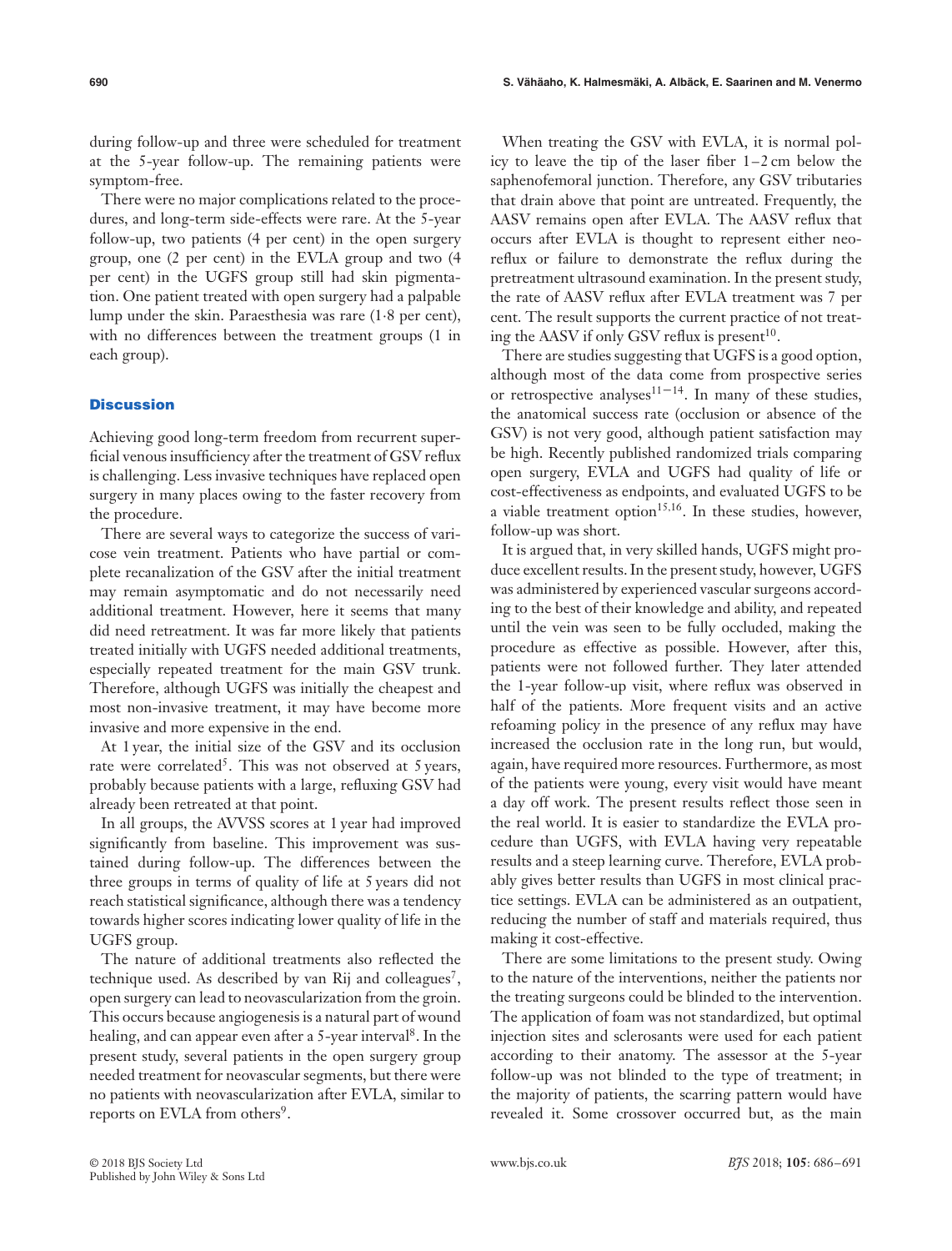during follow-up and three were scheduled for treatment at the 5-year follow-up. The remaining patients were symptom-free.

There were no major complications related to the procedures, and long-term side-effects were rare. At the 5-year follow-up, two patients (4 per cent) in the open surgery group, one (2 per cent) in the EVLA group and two (4 per cent) in the UGFS group still had skin pigmentation. One patient treated with open surgery had a palpable lump under the skin. Paraesthesia was rare (1⋅8 per cent), with no differences between the treatment groups (1 in each group).

## **Discussion**

Achieving good long-term freedom from recurrent superficial venous insufficiency after the treatment of GSV reflux is challenging. Less invasive techniques have replaced open surgery in many places owing to the faster recovery from the procedure.

There are several ways to categorize the success of varicose vein treatment. Patients who have partial or complete recanalization of the GSV after the initial treatment may remain asymptomatic and do not necessarily need additional treatment. However, here it seems that many did need retreatment. It was far more likely that patients treated initially with UGFS needed additional treatments, especially repeated treatment for the main GSV trunk. Therefore, although UGFS was initially the cheapest and most non-invasive treatment, it may have become more invasive and more expensive in the end.

At 1 year, the initial size of the GSV and its occlusion rate were correlated<sup>5</sup>. This was not observed at 5 years, probably because patients with a large, refluxing GSV had already been retreated at that point.

In all groups, the AVVSS scores at 1 year had improved significantly from baseline. This improvement was sustained during follow-up. The differences between the three groups in terms of quality of life at 5 years did not reach statistical significance, although there was a tendency towards higher scores indicating lower quality of life in the UGFS group.

The nature of additional treatments also reflected the technique used. As described by van Rij and colleagues<sup>7</sup>, open surgery can lead to neovascularization from the groin. This occurs because angiogenesis is a natural part of wound healing, and can appear even after a 5-year interval<sup>8</sup>. In the present study, several patients in the open surgery group needed treatment for neovascular segments, but there were no patients with neovascularization after EVLA, similar to reports on EVLA from others<sup>9</sup>.

When treating the GSV with EVLA, it is normal policy to leave the tip of the laser fiber 1–2 cm below the saphenofemoral junction. Therefore, any GSV tributaries that drain above that point are untreated. Frequently, the AASV remains open after EVLA. The AASV reflux that occurs after EVLA is thought to represent either neoreflux or failure to demonstrate the reflux during the pretreatment ultrasound examination. In the present study, the rate of AASV reflux after EVLA treatment was 7 per cent. The result supports the current practice of not treating the AASV if only GSV reflux is present $^{10}$ .

There are studies suggesting that UGFS is a good option, although most of the data come from prospective series or retrospective analyses<sup>11–14</sup>. In many of these studies, the anatomical success rate (occlusion or absence of the GSV) is not very good, although patient satisfaction may be high. Recently published randomized trials comparing open surgery, EVLA and UGFS had quality of life or cost-effectiveness as endpoints, and evaluated UGFS to be a viable treatment option<sup>15,16</sup>. In these studies, however, follow-up was short.

It is argued that, in very skilled hands, UGFS might produce excellent results. In the present study, however, UGFS was administered by experienced vascular surgeons according to the best of their knowledge and ability, and repeated until the vein was seen to be fully occluded, making the procedure as effective as possible. However, after this, patients were not followed further. They later attended the 1-year follow-up visit, where reflux was observed in half of the patients. More frequent visits and an active refoaming policy in the presence of any reflux may have increased the occlusion rate in the long run, but would, again, have required more resources. Furthermore, as most of the patients were young, every visit would have meant a day off work. The present results reflect those seen in the real world. It is easier to standardize the EVLA procedure than UGFS, with EVLA having very repeatable results and a steep learning curve. Therefore, EVLA probably gives better results than UGFS in most clinical practice settings. EVLA can be administered as an outpatient, reducing the number of staff and materials required, thus making it cost-effective.

There are some limitations to the present study. Owing to the nature of the interventions, neither the patients nor the treating surgeons could be blinded to the intervention. The application of foam was not standardized, but optimal injection sites and sclerosants were used for each patient according to their anatomy. The assessor at the 5-year follow-up was not blinded to the type of treatment; in the majority of patients, the scarring pattern would have revealed it. Some crossover occurred but, as the main